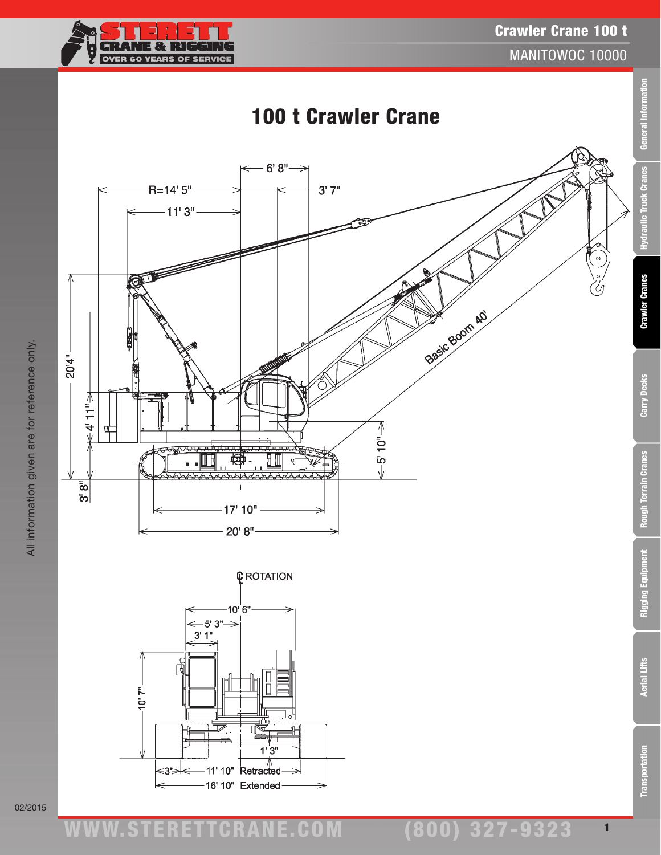## Crawler Crane 100 t



MANITOWOC 10000

1







02/2015

All information given are for reference only.

All information given are for reference only.

ww.TDKv.com www.STERETTCRAnE.Com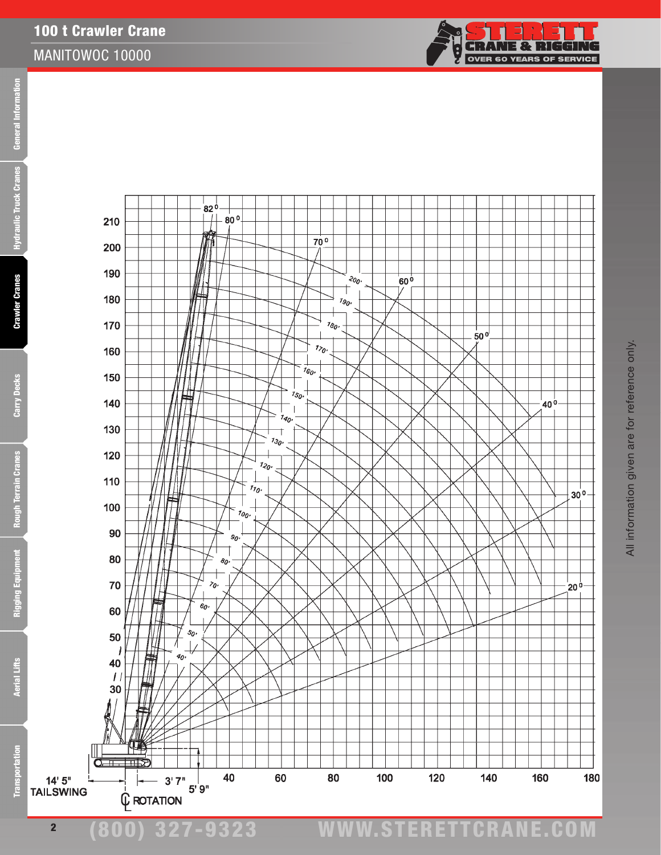



2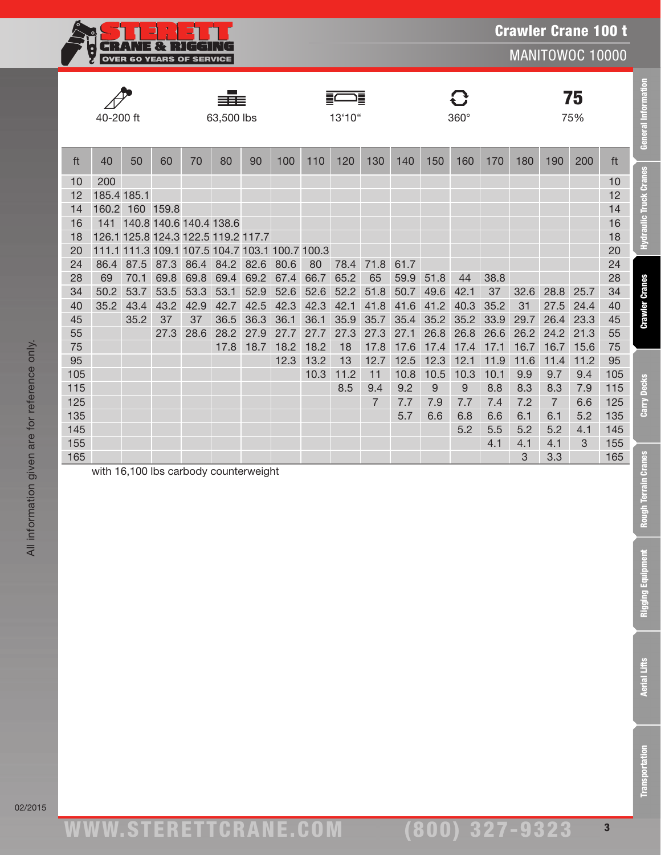

MANITOWOC 10000

|     | 40-200 ft<br>63,500 lbs |                 |                                                 |      |      |                           | Ē<br>13'10" |      |      |                |      | 360° |      |      |      | 75<br>75%      |      |     |
|-----|-------------------------|-----------------|-------------------------------------------------|------|------|---------------------------|-------------|------|------|----------------|------|------|------|------|------|----------------|------|-----|
| ft  | 40                      | 50              | 60                                              | 70   | 80   | 90                        | 100         | 110  | 120  | 130            | 140  | 150  | 160  | 170  | 180  | 190            | 200  | ft  |
| 10  | 200                     |                 |                                                 |      |      |                           |             |      |      |                |      |      |      |      |      |                |      | 10  |
| 12  | 185.4 185.1             |                 |                                                 |      |      |                           |             |      |      |                |      |      |      |      |      |                |      | 12  |
| 14  | 160.2                   |                 | 160 159.8                                       |      |      |                           |             |      |      |                |      |      |      |      |      |                |      | 14  |
| 16  | 141                     |                 | 140.8 140.6 140.4 138.6                         |      |      |                           |             |      |      |                |      |      |      |      |      |                |      | 16  |
| 18  |                         |                 | 126.1 125.8 124.3 122.5 119.2 117.7             |      |      |                           |             |      |      |                |      |      |      |      |      |                |      | 18  |
| 20  |                         |                 | 111.1 111.3 109.1 107.5 104.7 103.1 100.7 100.3 |      |      |                           |             |      |      |                |      |      |      |      |      |                |      | 20  |
| 24  | 86.4                    | 87.5            | 87.3                                            | 86.4 | 84.2 | 82.6                      | 80.6        | 80   | 78.4 | 71.8           | 61.7 |      |      |      |      |                |      | 24  |
| 28  | 69                      | 70.1            | 69.8                                            | 69.8 | 69.4 | 69.2                      | 67.4        | 66.7 | 65.2 | 65             | 59.9 | 51.8 | 44   | 38.8 |      |                |      | 28  |
| 34  | 50.2                    | 53.7            | 53.5                                            | 53.3 | 53.1 | 52.9                      | 52.6        | 52.6 | 52.2 | 51.8           | 50.7 | 49.6 | 42.1 | 37   | 32.6 | 28.8           | 25.7 | 34  |
| 40  | 35.2                    | 43.4            | 43.2                                            | 42.9 | 42.7 | 42.5                      | 42.3        | 42.3 | 42.1 | 41.8           | 41.6 | 41.2 | 40.3 | 35.2 | 31   | 27.5           | 24.4 | 40  |
| 45  |                         | 35.2            | 37                                              | 37   | 36.5 | 36.3                      | 36.1        | 36.1 | 35.9 | 35.7           | 35.4 | 35.2 | 35.2 | 33.9 | 29.7 | 26.4           | 23.3 | 45  |
| 55  |                         |                 | 27.3                                            | 28.6 | 28.2 | 27.9                      | 27.7        | 27.7 | 27.3 | 27.3           | 27.1 | 26.8 | 26.8 | 26.6 | 26.2 | 24.2           | 21.3 | 55  |
| 75  |                         |                 |                                                 |      | 17.8 | 18.7                      | 18.2        | 18.2 | 18   | 17.8           | 17.6 | 17.4 | 17.4 | 17.1 | 16.7 | 16.7           | 15.6 | 75  |
| 95  |                         |                 |                                                 |      |      |                           | 12.3        | 13.2 | 13   | 12.7           | 12.5 | 12.3 | 12.1 | 11.9 | 11.6 | 11.4           | 11.2 | 95  |
| 105 |                         |                 |                                                 |      |      |                           |             | 10.3 | 11.2 | 11             | 10.8 | 10.5 | 10.3 | 10.1 | 9.9  | 9.7            | 9.4  | 105 |
| 115 |                         |                 |                                                 |      |      |                           |             |      | 8.5  | 9.4            | 9.2  | 9    | 9    | 8.8  | 8.3  | 8.3            | 7.9  | 115 |
| 125 |                         |                 |                                                 |      |      |                           |             |      |      | $\overline{7}$ | 7.7  | 7.9  | 7.7  | 7.4  | 7.2  | $\overline{7}$ | 6.6  | 125 |
| 135 |                         |                 |                                                 |      |      |                           |             |      |      |                | 5.7  | 6.6  | 6.8  | 6.6  | 6.1  | 6.1            | 5.2  | 135 |
| 145 |                         |                 |                                                 |      |      |                           |             |      |      |                |      |      | 5.2  | 5.5  | 5.2  | 5.2            | 4.1  | 145 |
| 155 |                         |                 |                                                 |      |      |                           |             |      |      |                |      |      |      | 4.1  | 4.1  | 4.1            | 3    | 155 |
| 165 |                         | $1.116 + 0.400$ |                                                 |      |      | بالمالم فمراج مرحلة مرزان |             |      |      |                |      |      |      |      | 3    | 3.3            |      | 165 |

with 16,100 lbs carbody counterweight

Transportation Aerial Lifts Rigging Equipment Rough Terrain Cranes Carry Decks Crawler Cranes Hydraulic Truck Cranes General Information

**Rough Terrain Cranes** 

**Rigging Equipment** 

**Aerial Lifts** 

**Transportation** 

Carry Decks

**General Information** 

**Hydraulic Truck Cranes** 

**Crawler Cranes**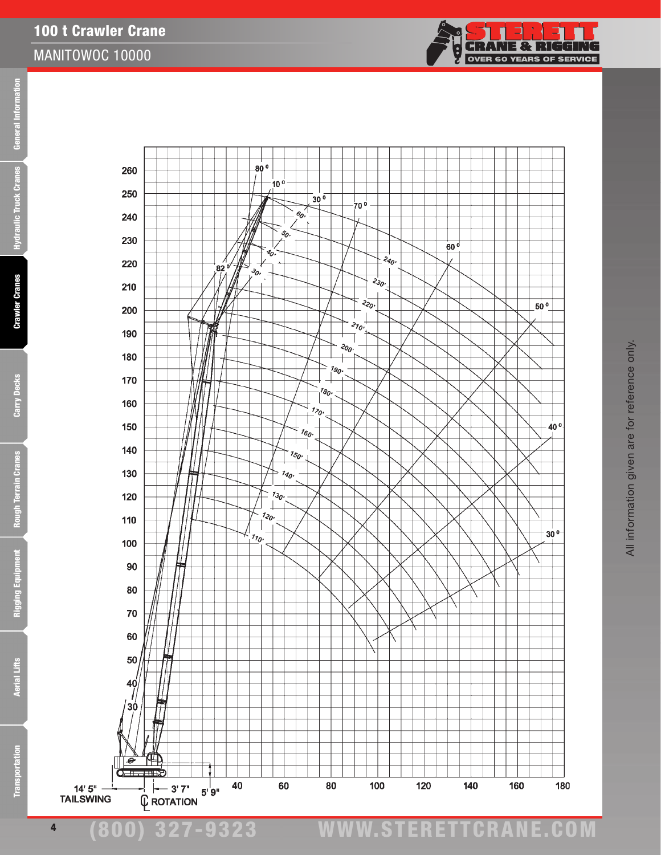**Crawler Cranes** 

100 t Crawler Crane

MANITOWOC 10000



j.<br>N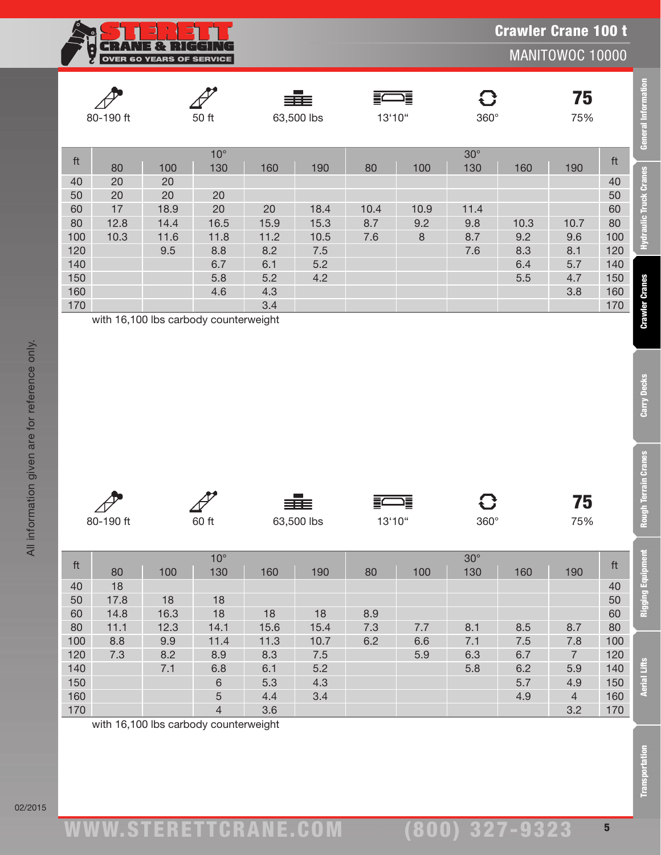**RANE & RIGGIN**  $\overline{\mathbb{F}}$ G OVER 60 YEARS OF SERVICE

MANITOWOC 10000

**Crawler Cranes** 

Carry Decks

**Rough Terrain Cranes** 

|     | 80-190 ft |      | 50 ft               | - 1<br>≡≡≡<br>63,500 lbs |      | 這<br>13'10" |      | C<br>$360^\circ$  |      | 75<br>75% |     |
|-----|-----------|------|---------------------|--------------------------|------|-------------|------|-------------------|------|-----------|-----|
| ft  | 80        | 100  | $10^{\circ}$<br>130 | 160                      | 190  | 80          | 100  | $30^\circ$<br>130 | 160  | 190       | ft  |
| 40  | 20        | 20   |                     |                          |      |             |      |                   |      |           | 40  |
| 50  | 20        | 20   | 20                  |                          |      |             |      |                   |      |           | 50  |
| 60  | 17        | 18.9 | 20                  | 20                       | 18.4 | 10.4        | 10.9 | 11.4              |      |           | 60  |
| 80  | 12.8      | 14.4 | 16.5                | 15.9                     | 15.3 | 8.7         | 9.2  | 9.8               | 10.3 | 10.7      | 80  |
| 100 | 10.3      | 11.6 | 11.8                | 11.2                     | 10.5 | 7.6         | 8    | 8.7               | 9.2  | 9.6       | 100 |
| 120 |           | 9.5  | 8.8                 | 8.2                      | 7.5  |             |      | 7.6               | 8.3  | 8.1       | 120 |
| 140 |           |      | 6.7                 | 6.1                      | 5.2  |             |      |                   | 6.4  | 5.7       | 140 |
| 150 |           |      | 5.8                 | 5.2                      | 4.2  |             |      |                   | 5.5  | 4.7       | 150 |
| 160 |           |      | 4.6                 | 4.3                      |      |             |      |                   |      | 3.8       | 160 |
| 170 |           |      |                     | 3.4                      |      |             |      |                   |      |           | 170 |

| $\sqrt{2}$ |       | 丰田         | $\equiv$<br>Ξ0 |             | 75  |
|------------|-------|------------|----------------|-------------|-----|
| 80-190 ft  | 60 ft | 63,500 lbs | 13'10"         | $360^\circ$ | 75% |

|                                                                      | 80-190 ft                                                                     |                                                    | 50 ft                                                                       |                                                              | 63,500 lbs                                       | 13'10"                   |                               | 360°                                           |                                         | 75<br>75%                                      |                                                                      | <b>General Information</b>                        |
|----------------------------------------------------------------------|-------------------------------------------------------------------------------|----------------------------------------------------|-----------------------------------------------------------------------------|--------------------------------------------------------------|--------------------------------------------------|--------------------------|-------------------------------|------------------------------------------------|-----------------------------------------|------------------------------------------------|----------------------------------------------------------------------|---------------------------------------------------|
| ft<br>40<br>50<br>60<br>80<br>100<br>120<br>140<br>150<br>160<br>170 | 80<br>20<br>20<br>17<br>12.8<br>10.3<br>with 16,100 lbs carbody counterweight | 100<br>20<br>$20\,$<br>18.9<br>14.4<br>11.6<br>9.5 | $10^{\circ}$<br>130<br>20<br>20<br>16.5<br>11.8<br>8.8<br>6.7<br>5.8<br>4.6 | 160<br>20<br>15.9<br>11.2<br>8.2<br>6.1<br>5.2<br>4.3<br>3.4 | 190<br>18.4<br>15.3<br>10.5<br>7.5<br>5.2<br>4.2 | 80<br>10.4<br>8.7<br>7.6 | 100<br>10.9<br>9.2<br>$\,8\,$ | $30^\circ$<br>130<br>11.4<br>9.8<br>8.7<br>7.6 | 160<br>10.3<br>9.2<br>8.3<br>6.4<br>5.5 | 190<br>10.7<br>9.6<br>8.1<br>5.7<br>4.7<br>3.8 | ft<br>40<br>50<br>60<br>80<br>100<br>120<br>140<br>150<br>160<br>170 | Hydraulic Truck Cranes<br><b>Crawler Cranes</b>   |
|                                                                      | 80-190 ft                                                                     |                                                    | 60 ft                                                                       |                                                              | 63,500 lbs                                       | 13'10"                   | 결                             | G<br>$360^\circ$                               |                                         | 75<br>75%                                      |                                                                      | <b>Carry Decks</b><br><b>Rough Terrain Cranes</b> |
| ft<br>40<br>50<br>60<br>80                                           | 80<br>18<br>17.8<br>14.8<br>11.1                                              | 100<br>18<br>16.3<br>12.3                          | $10^{\circ}$<br>130<br>18<br>18<br>14.1                                     | 160<br>18<br>15.6                                            | 190<br>18<br>15.4                                | 80<br>8.9<br>7.3         | 100<br>7.7                    | $30^\circ$<br>130<br>8.1                       | 160<br>8.5                              | 190<br>8.7                                     | $\operatorname{\sf ft}$<br>40<br>50<br>60<br>80                      | ment<br>Rigging Equip                             |
| 100<br>120<br>140<br>150                                             | 8.8<br>7.3                                                                    | 9.9<br>8.2                                         | 11.4<br>8.9                                                                 | 11.3<br>8.3<br>6.1                                           | 10.7<br>$7.5$<br>5.2                             | 6.2                      | 6.6<br>5.9                    | 7.1<br>6.3<br>5.8                              | 7.5<br>6.7<br>6.2                       | 7.8<br>$\sqrt{7}$<br>5.9                       | 100<br>120<br>140                                                    |                                                   |
| 160<br>170                                                           | with 16,100 lbs carbody counterweight                                         | 7.1                                                | 6.8<br>$\,$ 6<br>$\sqrt{5}$<br>$\overline{4}$                               | 5.3<br>4.4<br>3.6                                            | 4.3<br>3.4                                       |                          |                               |                                                | 5.7<br>4.9                              | 4.9<br>$\overline{4}$<br>3.2                   | 150<br>160<br>170                                                    | <b>Aerial Lifts</b>                               |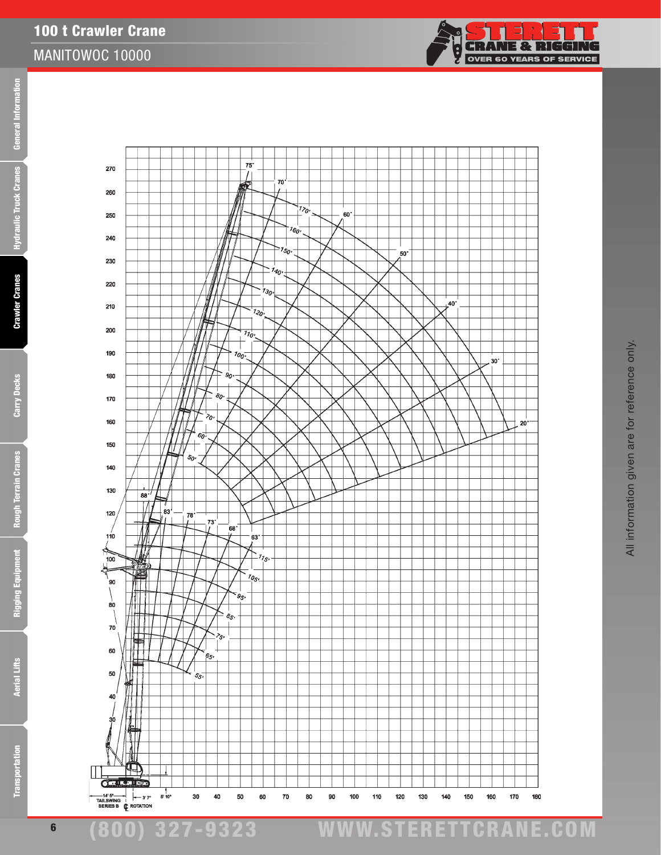

eral Information Transportation Aerial Lifts Rigging Equipment Rough Terrain Cranes Carry Decks Crawler Cranes Hydraulic Truck Cranes General Information **Gen Hydraulic Truck Cranes** 



(800) 327-9323 www.STERETTCRAnE.Com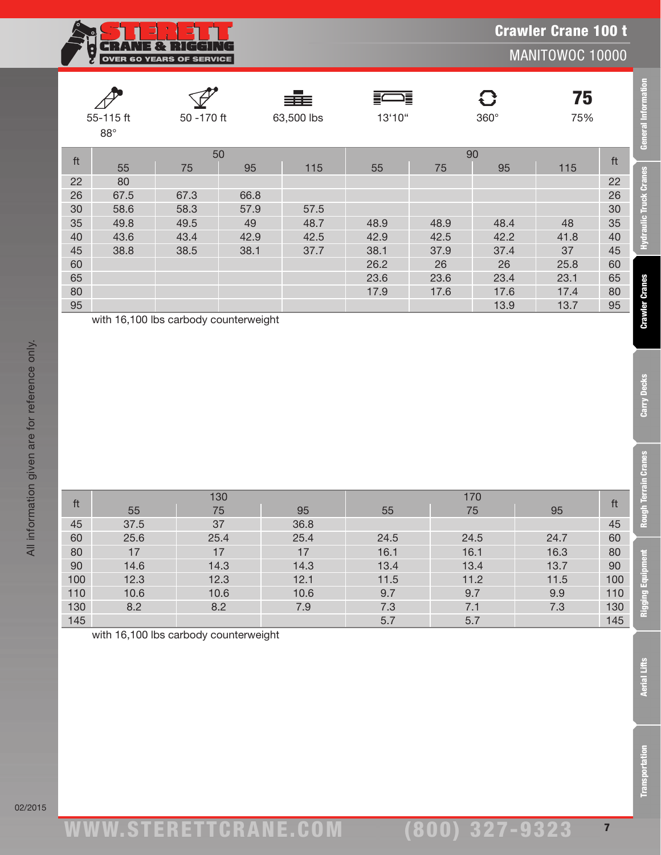**CRANE & RIGGING**<br>OVER 60 YEARS OF SERVICE

Crawler Crane 100 t

MANITOWOC 10000

**General Information** 

**Hydraulic Truck Cranes** 

**Crawler Cranes** 

Carry Decks

in Cranes

|    | 55-115 ft<br>$88^\circ$ |                | ≡≡≡<br>50 - 170 ft<br>63,500 lbs |      |      | $\implies$<br>13'10" | $\mathbf G$<br>$360^\circ$ | 75<br>75% |    |
|----|-------------------------|----------------|----------------------------------|------|------|----------------------|----------------------------|-----------|----|
| ft | 55                      | 50<br>95<br>75 |                                  | 115  | 55   | 75                   | 90<br>95                   | 115       | ft |
| 22 | 80                      |                |                                  |      |      |                      |                            |           | 22 |
| 26 | 67.5                    | 67.3           | 66.8                             |      |      |                      |                            |           | 26 |
| 30 | 58.6                    | 58.3           | 57.9                             | 57.5 |      |                      |                            |           | 30 |
| 35 | 49.8                    | 49.5           | 49                               | 48.7 | 48.9 | 48.9                 | 48.4                       | 48        | 35 |
| 40 | 43.6                    | 43.4           | 42.9                             | 42.5 | 42.9 | 42.5                 | 42.2                       | 41.8      | 40 |
| 45 | 38.8                    | 38.5           | 38.1                             | 37.7 | 38.1 | 37.9                 | 37.4                       | 37        | 45 |
| 60 |                         |                |                                  |      | 26.2 | 26                   | 26                         | 25.8      | 60 |
| 65 |                         |                |                                  |      | 23.6 | 23.6                 | 23.4                       | 23.1      | 65 |
| 80 |                         |                |                                  |      | 17.9 | 17.6                 | 17.6                       | 17.4      | 80 |
| 95 |                         |                |                                  |      |      |                      | 13.9                       | 13.7      | 95 |

|            | 55-115 ft<br>$88^\circ$ | 63,500 lbs<br>50 - 170 ft             |      |              | 13'10"      |             | $360^\circ$  | 75<br>75%    |            |  |
|------------|-------------------------|---------------------------------------|------|--------------|-------------|-------------|--------------|--------------|------------|--|
| ft         | 55                      | 50<br>75                              | 95   | 115          | 55          | 90<br>75    | 95           | 115          | ft         |  |
| 22         | 80                      |                                       |      |              |             |             |              |              | 22         |  |
| 26         | 67.5                    | 67.3                                  | 66.8 |              |             |             |              |              | 26         |  |
| 30         | 58.6                    | 58.3                                  | 57.9 | 57.5         |             |             |              |              | 30         |  |
| 35         | 49.8                    | 49.5                                  | 49   | 48.7         | 48.9        | 48.9        | 48.4         | 48           | 35         |  |
| 40         | 43.6                    | 43.4                                  | 42.9 | 42.5         | 42.9        | 42.5        | 42.2         | 41.8         | 40         |  |
| 45         | 38.8                    | 38.5                                  | 38.1 | 37.7         | 38.1        | 37.9        | 37.4         | 37           | 45         |  |
| 60         |                         |                                       |      |              | 26.2        | 26          | 26           | 25.8         | 60         |  |
| 65         |                         |                                       |      |              | 23.6        | 23.6        | 23.4         | 23.1         | 65         |  |
| 80<br>95   |                         |                                       |      |              | 17.9        | 17.6        | 17.6<br>13.9 | 17.4<br>13.7 | 80<br>95   |  |
|            |                         |                                       |      |              |             |             |              |              |            |  |
| ft         | 55                      | 130<br>75                             |      | 95           | 55          | 170<br>75   |              | 95           | ft         |  |
| 45         | 37.5                    | 37                                    |      | 36.8         |             |             |              |              | 45         |  |
| 60         | 25.6                    | 25.4                                  |      | 25.4         | 24.5        | 24.5        |              | 24.7         | 60         |  |
| 80         | 17                      | 17                                    |      | 17           | 16.1        | 16.1        |              | 16.3         | 80         |  |
| $90\,$     | 14.6                    | 14.3                                  |      | 14.3         | 13.4        | 13.4        |              | 13.7         | $90\,$     |  |
| 100<br>110 | 12.3<br>10.6            | 12.3<br>10.6                          |      | 12.1<br>10.6 | 11.5<br>9.7 | 11.2<br>9.7 |              | 11.5<br>9.9  | 100<br>110 |  |
| 130        | 8.2                     | 8.2                                   |      | 7.9          | 7.3         | 7.1         |              | 7.3          | 130        |  |
|            |                         |                                       |      |              |             |             |              |              |            |  |
| 145        |                         |                                       |      |              | 5.7         | 5.7         |              |              | 145        |  |
|            |                         | with 16,100 lbs carbody counterweight |      |              |             |             |              |              |            |  |
|            |                         |                                       |      |              |             |             |              |              |            |  |